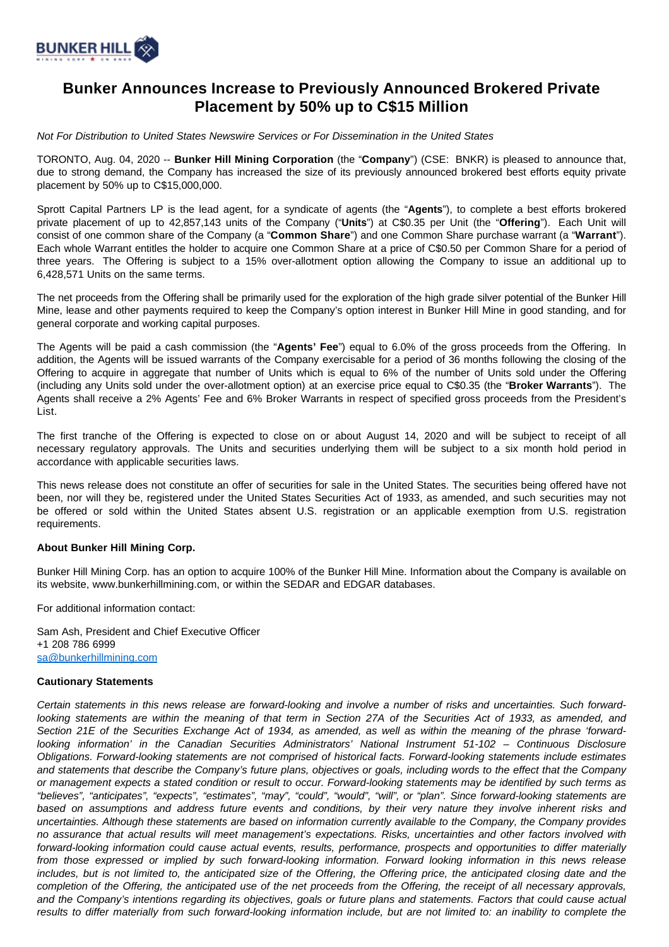

## **Bunker Announces Increase to Previously Announced Brokered Private Placement by 50% up to C\$15 Million**

Not For Distribution to United States Newswire Services or For Dissemination in the United States

TORONTO, Aug. 04, 2020 -- **Bunker Hill Mining Corporation** (the "**Company**") (CSE: BNKR) is pleased to announce that, due to strong demand, the Company has increased the size of its previously announced brokered best efforts equity private placement by 50% up to C\$15,000,000.

Sprott Capital Partners LP is the lead agent, for a syndicate of agents (the "**Agents**"), to complete a best efforts brokered private placement of up to 42,857,143 units of the Company ("**Units**") at C\$0.35 per Unit (the "**Offering**"). Each Unit will consist of one common share of the Company (a "**Common Share**") and one Common Share purchase warrant (a "**Warrant**"). Each whole Warrant entitles the holder to acquire one Common Share at a price of C\$0.50 per Common Share for a period of three years. The Offering is subject to a 15% over-allotment option allowing the Company to issue an additional up to 6,428,571 Units on the same terms.

The net proceeds from the Offering shall be primarily used for the exploration of the high grade silver potential of the Bunker Hill Mine, lease and other payments required to keep the Company's option interest in Bunker Hill Mine in good standing, and for general corporate and working capital purposes.

The Agents will be paid a cash commission (the "**Agents' Fee**") equal to 6.0% of the gross proceeds from the Offering. In addition, the Agents will be issued warrants of the Company exercisable for a period of 36 months following the closing of the Offering to acquire in aggregate that number of Units which is equal to 6% of the number of Units sold under the Offering (including any Units sold under the over-allotment option) at an exercise price equal to C\$0.35 (the "**Broker Warrants**"). The Agents shall receive a 2% Agents' Fee and 6% Broker Warrants in respect of specified gross proceeds from the President's List.

The first tranche of the Offering is expected to close on or about August 14, 2020 and will be subject to receipt of all necessary regulatory approvals. The Units and securities underlying them will be subject to a six month hold period in accordance with applicable securities laws.

This news release does not constitute an offer of securities for sale in the United States. The securities being offered have not been, nor will they be, registered under the United States Securities Act of 1933, as amended, and such securities may not be offered or sold within the United States absent U.S. registration or an applicable exemption from U.S. registration requirements.

## **About Bunker Hill Mining Corp.**

Bunker Hill Mining Corp. has an option to acquire 100% of the Bunker Hill Mine. Information about the Company is available on its website, www.bunkerhillmining.com, or within the SEDAR and EDGAR databases.

For additional information contact:

Sam Ash, President and Chief Executive Officer +1 208 786 6999 [sa@bunkerhillmining.com](mailto:sa@bunkerhillmining.com)

## **Cautionary Statements**

Certain statements in this news release are forward-looking and involve a number of risks and uncertainties. Such forwardlooking statements are within the meaning of that term in Section 27A of the Securities Act of 1933, as amended, and Section 21E of the Securities Exchange Act of 1934, as amended, as well as within the meaning of the phrase 'forwardlooking information' in the Canadian Securities Administrators' National Instrument 51-102 – Continuous Disclosure Obligations. Forward-looking statements are not comprised of historical facts. Forward-looking statements include estimates and statements that describe the Company's future plans, objectives or goals, including words to the effect that the Company or management expects a stated condition or result to occur. Forward-looking statements may be identified by such terms as "believes", "anticipates", "expects", "estimates", "may", "could", "would", "will", or "plan". Since forward-looking statements are based on assumptions and address future events and conditions, by their very nature they involve inherent risks and uncertainties. Although these statements are based on information currently available to the Company, the Company provides no assurance that actual results will meet management's expectations. Risks, uncertainties and other factors involved with forward-looking information could cause actual events, results, performance, prospects and opportunities to differ materially from those expressed or implied by such forward-looking information. Forward looking information in this news release includes, but is not limited to, the anticipated size of the Offering, the Offering price, the anticipated closing date and the completion of the Offering, the anticipated use of the net proceeds from the Offering, the receipt of all necessary approvals, and the Company's intentions regarding its objectives, goals or future plans and statements. Factors that could cause actual results to differ materially from such forward-looking information include, but are not limited to: an inability to complete the